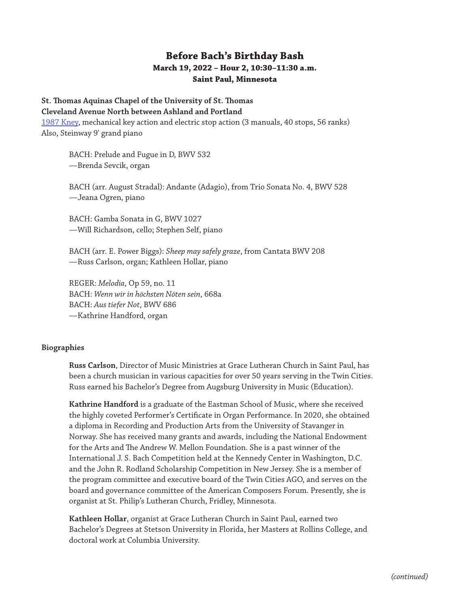## **Before Bach's Birthday Bash March 19, 2022 – Hour 2, 10:30–11:30 a.m. Saint Paul, Minnesota**

## **St. Thomas Aquinas Chapel of the University of St. Thomas**

## **Cleveland Avenue North between Ashland and Portland**

[1987 Kney](https://www.pipeorganlist.com/OrganList/datamn/MNStPaulUnivStThomasStThomasAquinasChap-KNEY-1987.html), mechanical key action and electric stop action (3 manuals, 40 stops, 56 ranks) Also, Steinway 9' grand piano

BACH: Prelude and Fugue in D, BWV 532 —Brenda Sevcik, organ

BACH (arr. August Stradal): Andante (Adagio), from Trio Sonata No. 4, BWV 528 —Jeana Ogren, piano

BACH: Gamba Sonata in G, BWV 1027 —Will Richardson, cello; Stephen Self, piano

BACH (arr. E. Power Biggs): *Sheep may safely graze*, from Cantata BWV 208 —Russ Carlson, organ; Kathleen Hollar, piano

REGER: *Melodia*, Op 59, no. 11 BACH: *Wenn wir in höchsten Nöten sein*, 668a BACH: *Aus tiefer Not*, BWV 686 —Kathrine Handford, organ

## **Biographies**

**Russ Carlson**, Director of Music Ministries at Grace Lutheran Church in Saint Paul, has been a church musician in various capacities for over 50 years serving in the Twin Cities. Russ earned his Bachelor's Degree from Augsburg University in Music (Education).

**Kathrine Handford** is a graduate of the Eastman School of Music, where she received the highly coveted Performer's Certificate in Organ Performance. In 2020, she obtained a diploma in Recording and Production Arts from the University of Stavanger in Norway. She has received many grants and awards, including the National Endowment for the Arts and The Andrew W. Mellon Foundation. She is a past winner of the International J. S. Bach Competition held at the Kennedy Center in Washington, D.C. and the John R. Rodland Scholarship Competition in New Jersey. She is a member of the program committee and executive board of the Twin Cities AGO, and serves on the board and governance committee of the American Composers Forum. Presently, she is organist at St. Philip's Lutheran Church, Fridley, Minnesota.

**Kathleen Hollar**, organist at Grace Lutheran Church in Saint Paul, earned two Bachelor's Degrees at Stetson University in Florida, her Masters at Rollins College, and doctoral work at Columbia University.